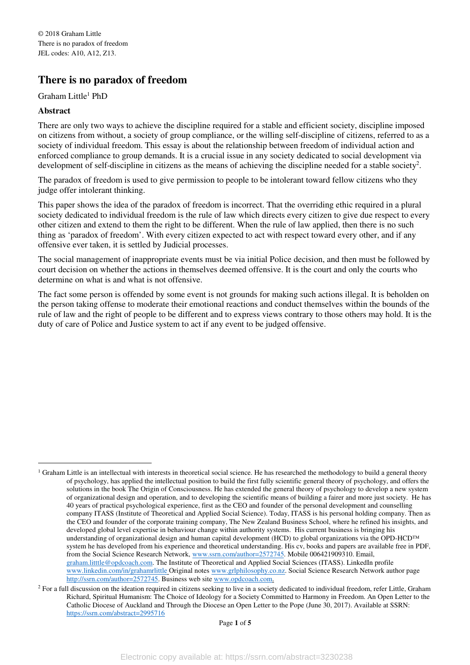## **There is no paradox of freedom**

Graham Little<sup>1</sup> PhD

## **Abstract**

 $\overline{a}$ 

There are only two ways to achieve the discipline required for a stable and efficient society, discipline imposed on citizens from without, a society of group compliance, or the willing self-discipline of citizens, referred to as a society of individual freedom. This essay is about the relationship between freedom of individual action and enforced compliance to group demands. It is a crucial issue in any society dedicated to social development via development of self-discipline in citizens as the means of achieving the discipline needed for a stable society<sup>2</sup>.

The paradox of freedom is used to give permission to people to be intolerant toward fellow citizens who they judge offer intolerant thinking.

This paper shows the idea of the paradox of freedom is incorrect. That the overriding ethic required in a plural society dedicated to individual freedom is the rule of law which directs every citizen to give due respect to every other citizen and extend to them the right to be different. When the rule of law applied, then there is no such thing as 'paradox of freedom'. With every citizen expected to act with respect toward every other, and if any offensive ever taken, it is settled by Judicial processes.

The social management of inappropriate events must be via initial Police decision, and then must be followed by court decision on whether the actions in themselves deemed offensive. It is the court and only the courts who determine on what is and what is not offensive.

The fact some person is offended by some event is not grounds for making such actions illegal. It is beholden on the person taking offense to moderate their emotional reactions and conduct themselves within the bounds of the rule of law and the right of people to be different and to express views contrary to those others may hold. It is the duty of care of Police and Justice system to act if any event to be judged offensive.

<sup>&</sup>lt;sup>1</sup> Graham Little is an intellectual with interests in theoretical social science. He has researched the methodology to build a general theory of psychology, has applied the intellectual position to build the first fully scientific general theory of psychology, and offers the solutions in the book The Origin of Consciousness. He has extended the general theory of psychology to develop a new system of organizational design and operation, and to developing the scientific means of building a fairer and more just society. He has 40 years of practical psychological experience, first as the CEO and founder of the personal development and counselling company ITASS (Institute of Theoretical and Applied Social Science). Today, ITASS is his personal holding company. Then as the CEO and founder of the corporate training company, The New Zealand Business School, where he refined his insights, and developed global level expertise in behaviour change within authority systems. His current business is bringing his understanding of organizational design and human capital development (HCD) to global organizations via the OPD-HCD™ system he has developed from his experience and theoretical understanding. His cv, books and papers are available free in PDF, from the Social Science Research Network, www.ssrn.com/author=2572745. Mobile 006421909310. Email, graham.litttle@opdcoach.com. The Institute of Theoretical and Applied Social Sciences (ITASS). LinkedIn profile www.linkedin.com/in/grahamrlittle Original notes www.grlphilosophy.co.nz. Social Science Research Network author page http://ssrn.com/author=2572745. Business web site www.opdcoach.com.

<sup>&</sup>lt;sup>2</sup> For a full discussion on the ideation required in citizens seeking to live in a society dedicated to individual freedom, refer Little, Graham Richard, Spiritual Humanism: The Choice of Ideology for a Society Committed to Harmony in Freedom. An Open Letter to the Catholic Diocese of Auckland and Through the Diocese an Open Letter to the Pope (June 30, 2017). Available at SSRN: https://ssrn.com/abstract=2995716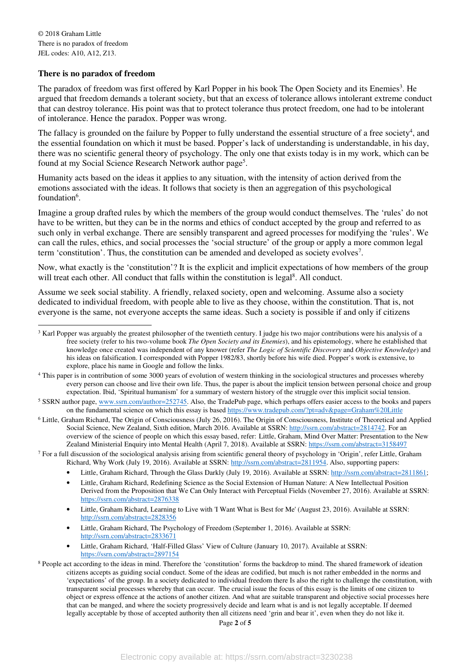$\overline{a}$ 

## **There is no paradox of freedom**

The paradox of freedom was first offered by Karl Popper in his book The Open Society and its Enemies<sup>3</sup>. He argued that freedom demands a tolerant society, but that an excess of tolerance allows intolerant extreme conduct that can destroy tolerance. His point was that to protect tolerance thus protect freedom, one had to be intolerant of intolerance. Hence the paradox. Popper was wrong.

The fallacy is grounded on the failure by Popper to fully understand the essential structure of a free society $4$ , and the essential foundation on which it must be based. Popper's lack of understanding is understandable, in his day, there was no scientific general theory of psychology. The only one that exists today is in my work, which can be found at my Social Science Research Network author page<sup>5</sup>.

Humanity acts based on the ideas it applies to any situation, with the intensity of action derived from the emotions associated with the ideas. It follows that society is then an aggregation of this psychological foundation<sup>6</sup>.

Imagine a group drafted rules by which the members of the group would conduct themselves. The 'rules' do not have to be written, but they can be in the norms and ethics of conduct accepted by the group and referred to as such only in verbal exchange. There are sensibly transparent and agreed processes for modifying the 'rules'. We can call the rules, ethics, and social processes the 'social structure' of the group or apply a more common legal term 'constitution'. Thus, the constitution can be amended and developed as society evolves<sup>7</sup>.

Now, what exactly is the 'constitution'? It is the explicit and implicit expectations of how members of the group will treat each other. All conduct that falls within the constitution is legal<sup>8</sup>. All conduct.

Assume we seek social stability. A friendly, relaxed society, open and welcoming. Assume also a society dedicated to individual freedom, with people able to live as they choose, within the constitution. That is, not everyone is the same, not everyone accepts the same ideas. Such a society is possible if and only if citizens

<sup>&</sup>lt;sup>3</sup> Karl Popper was arguably the greatest philosopher of the twentieth century. I judge his two major contributions were his analysis of a free society (refer to his two-volume book *The Open Society and its Enemies*), and his epistemology, where he established that knowledge once created was independent of any knower (refer *The Logic of Scientific Discovery* and *Objective Knowledge*) and his ideas on falsification. I corresponded with Popper 1982/83, shortly before his wife died. Popper's work is extensive, to explore, place his name in Google and follow the links.

<sup>&</sup>lt;sup>4</sup> This paper is in contribution of some 3000 years of evolution of western thinking in the sociological structures and processes whereby every person can choose and live their own life. Thus, the paper is about the implicit tension between personal choice and group expectation. Ibid, 'Spiritual humanism' for a summary of western history of the struggle over this implicit social tension.

<sup>&</sup>lt;sup>5</sup> SSRN author page, www.ssrn.com/author=252745. Also, the TradePub page, which perhaps offers easier access to the books and papers on the fundamental science on which this essay is based https://www.tradepub.com/?pt=adv&page=Graham%20Little

<sup>&</sup>lt;sup>6</sup> Little, Graham Richard, The Origin of Consciousness (July 26, 2016). The Origin of Consciousness, Institute of Theoretical and Applied Social Science, New Zealand, Sixth edition, March 2016. Available at SSRN: http://ssrn.com/abstract=2814742. For an overview of the science of people on which this essay based, refer: Little, Graham, Mind Over Matter: Presentation to the New Zealand Ministerial Enquiry into Mental Health (April 7, 2018). Available at SSRN: https://ssrn.com/abstract=3158497

 $<sup>7</sup>$  For a full discussion of the sociological analysis arising from scientific general theory of psychology in 'Origin', refer Little, Graham</sup> Richard, Why Work (July 19, 2016). Available at SSRN: http://ssrn.com/abstract=2811954. Also, supporting papers:

<sup>•</sup> Little, Graham Richard, Through the Glass Darkly (July 19, 2016). Available at SSRN: http://ssrn.com/abstract=2811861;

<sup>•</sup> Little, Graham Richard, Redefining Science as the Social Extension of Human Nature: A New Intellectual Position Derived from the Proposition that We Can Only Interact with Perceptual Fields (November 27, 2016). Available at SSRN: https://ssrn.com/abstract=2876338

<sup>•</sup> Little, Graham Richard, Learning to Live with 'I Want What is Best for Me' (August 23, 2016). Available at SSRN: http://ssrn.com/abstract=2828356

<sup>•</sup> Little, Graham Richard, The Psychology of Freedom (September 1, 2016). Available at SSRN: http://ssrn.com/abstract=2833671

<sup>•</sup> Little, Graham Richard, 'Half-Filled Glass' View of Culture (January 10, 2017). Available at SSRN: https://ssrn.com/abstract=2897154

<sup>&</sup>lt;sup>8</sup> People act according to the ideas in mind. Therefore the 'constitution' forms the backdrop to mind. The shared framework of ideation citizens accepts as guiding social conduct. Some of the ideas are codified, but much is not rather embedded in the norms and 'expectations' of the group. In a society dedicated to individual freedom there Is also the right to challenge the constitution, with transparent social processes whereby that can occur. The crucial issue the focus of this essay is the limits of one citizen to object or express offence at the actions of another citizen. And what are suitable transparent and objective social processes here that can be manged, and where the society progressively decide and learn what is and is not legally acceptable. If deemed legally acceptable by those of accepted authority then all citizens need 'grin and bear it', even when they do not like it.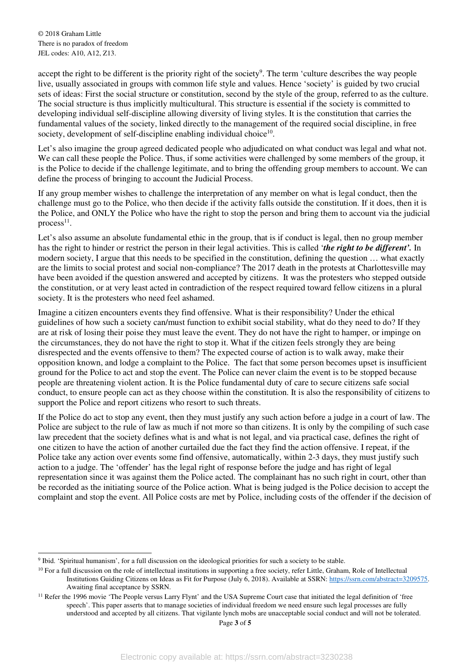accept the right to be different is the priority right of the society<sup>9</sup>. The term 'culture describes the way people live, usually associated in groups with common life style and values. Hence 'society' is guided by two crucial sets of ideas: First the social structure or constitution, second by the style of the group, referred to as the culture. The social structure is thus implicitly multicultural. This structure is essential if the society is committed to developing individual self-discipline allowing diversity of living styles. It is the constitution that carries the fundamental values of the society, linked directly to the management of the required social discipline, in free society, development of self-discipline enabling individual choice<sup>10</sup>.

Let's also imagine the group agreed dedicated people who adjudicated on what conduct was legal and what not. We can call these people the Police. Thus, if some activities were challenged by some members of the group, it is the Police to decide if the challenge legitimate, and to bring the offending group members to account. We can define the process of bringing to account the Judicial Process.

If any group member wishes to challenge the interpretation of any member on what is legal conduct, then the challenge must go to the Police, who then decide if the activity falls outside the constitution. If it does, then it is the Police, and ONLY the Police who have the right to stop the person and bring them to account via the judicial  $process<sup>11</sup>$ .

Let's also assume an absolute fundamental ethic in the group, that is if conduct is legal, then no group member has the right to hinder or restrict the person in their legal activities. This is called '*the right to be different'.* In modern society, I argue that this needs to be specified in the constitution, defining the question … what exactly are the limits to social protest and social non-compliance? The 2017 death in the protests at Charlottesville may have been avoided if the question answered and accepted by citizens. It was the protesters who stepped outside the constitution, or at very least acted in contradiction of the respect required toward fellow citizens in a plural society. It is the protesters who need feel ashamed.

Imagine a citizen encounters events they find offensive. What is their responsibility? Under the ethical guidelines of how such a society can/must function to exhibit social stability, what do they need to do? If they are at risk of losing their poise they must leave the event. They do not have the right to hamper, or impinge on the circumstances, they do not have the right to stop it. What if the citizen feels strongly they are being disrespected and the events offensive to them? The expected course of action is to walk away, make their opposition known, and lodge a complaint to the Police. The fact that some person becomes upset is insufficient ground for the Police to act and stop the event. The Police can never claim the event is to be stopped because people are threatening violent action. It is the Police fundamental duty of care to secure citizens safe social conduct, to ensure people can act as they choose within the constitution. It is also the responsibility of citizens to support the Police and report citizens who resort to such threats.

If the Police do act to stop any event, then they must justify any such action before a judge in a court of law. The Police are subject to the rule of law as much if not more so than citizens. It is only by the compiling of such case law precedent that the society defines what is and what is not legal, and via practical case, defines the right of one citizen to have the action of another curtailed due the fact they find the action offensive. I repeat, if the Police take any action over events some find offensive, automatically, within 2-3 days, they must justify such action to a judge. The 'offender' has the legal right of response before the judge and has right of legal representation since it was against them the Police acted. The complainant has no such right in court, other than be recorded as the initiating source of the Police action. What is being judged is the Police decision to accept the complaint and stop the event. All Police costs are met by Police, including costs of the offender if the decision of

 $\overline{a}$ 9 Ibid. 'Spiritual humanism', for a full discussion on the ideological priorities for such a society to be stable.

 $10$  For a full discussion on the role of intellectual institutions in supporting a free society, refer Little, Graham, Role of Intellectual Institutions Guiding Citizens on Ideas as Fit for Purpose (July 6, 2018). Available at SSRN: https://ssrn.com/abstract=3209575. Awaiting final acceptance by SSRN.

<sup>&</sup>lt;sup>11</sup> Refer the 1996 movie 'The People versus Larry Flynt' and the USA Supreme Court case that initiated the legal definition of 'free speech'. This paper asserts that to manage societies of individual freedom we need ensure such legal processes are fully understood and accepted by all citizens. That vigilante lynch mobs are unacceptable social conduct and will not be tolerated.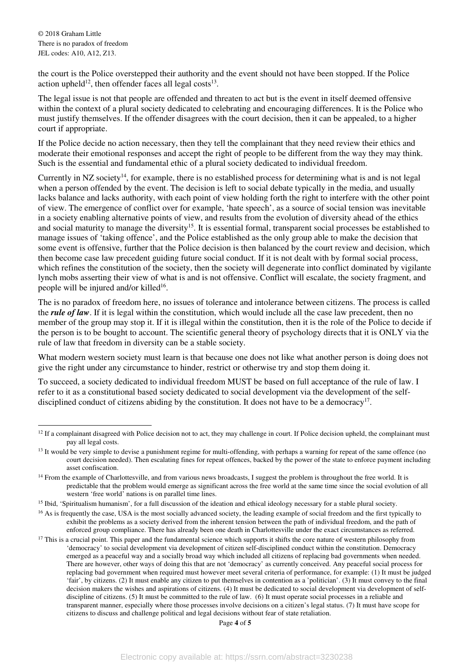the court is the Police overstepped their authority and the event should not have been stopped. If the Police action upheld<sup>12</sup>, then offender faces all legal costs<sup>13</sup>.

The legal issue is not that people are offended and threaten to act but is the event in itself deemed offensive within the context of a plural society dedicated to celebrating and encouraging differences. It is the Police who must justify themselves. If the offender disagrees with the court decision, then it can be appealed, to a higher court if appropriate.

If the Police decide no action necessary, then they tell the complainant that they need review their ethics and moderate their emotional responses and accept the right of people to be different from the way they may think. Such is the essential and fundamental ethic of a plural society dedicated to individual freedom.

Currently in NZ society<sup>14</sup>, for example, there is no established process for determining what is and is not legal when a person offended by the event. The decision is left to social debate typically in the media, and usually lacks balance and lacks authority, with each point of view holding forth the right to interfere with the other point of view. The emergence of conflict over for example, 'hate speech', as a source of social tension was inevitable in a society enabling alternative points of view, and results from the evolution of diversity ahead of the ethics and social maturity to manage the diversity<sup>15</sup>. It is essential formal, transparent social processes be established to manage issues of 'taking offence', and the Police established as the only group able to make the decision that some event is offensive, further that the Police decision is then balanced by the court review and decision, which then become case law precedent guiding future social conduct. If it is not dealt with by formal social process, which refines the constitution of the society, then the society will degenerate into conflict dominated by vigilante lynch mobs asserting their view of what is and is not offensive. Conflict will escalate, the society fragment, and people will be injured and/or killed<sup>16</sup>.

The is no paradox of freedom here, no issues of tolerance and intolerance between citizens. The process is called the *rule of law*. If it is legal within the constitution, which would include all the case law precedent, then no member of the group may stop it. If it is illegal within the constitution, then it is the role of the Police to decide if the person is to be bought to account. The scientific general theory of psychology directs that it is ONLY via the rule of law that freedom in diversity can be a stable society.

What modern western society must learn is that because one does not like what another person is doing does not give the right under any circumstance to hinder, restrict or otherwise try and stop them doing it.

To succeed, a society dedicated to individual freedom MUST be based on full acceptance of the rule of law. I refer to it as a constitutional based society dedicated to social development via the development of the selfdisciplined conduct of citizens abiding by the constitution. It does not have to be a democracy<sup>17</sup>.

Page **4** of **5**

 $\overline{a}$  $12$  If a complainant disagreed with Police decision not to act, they may challenge in court. If Police decision upheld, the complainant must pay all legal costs.

<sup>&</sup>lt;sup>13</sup> It would be very simple to devise a punishment regime for multi-offending, with perhaps a warning for repeat of the same offence (no court decision needed). Then escalating fines for repeat offences, backed by the power of the state to enforce payment including asset confiscation.

<sup>&</sup>lt;sup>14</sup> From the example of Charlottesville, and from various news broadcasts, I suggest the problem is throughout the free world. It is predictable that the problem would emerge as significant across the free world at the same time since the social evolution of all western 'free world' nations is on parallel time lines.

<sup>&</sup>lt;sup>15</sup> Ibid, 'Spiritualism humanism', for a full discussion of the ideation and ethical ideology necessary for a stable plural society.

<sup>&</sup>lt;sup>16</sup> As is frequently the case, USA is the most socially advanced society, the leading example of social freedom and the first typically to exhibit the problems as a society derived from the inherent tension between the path of individual freedom, and the path of enforced group compliance. There has already been one death in Charlottesville under the exact circumstances as referred.

 $17$  This is a crucial point. This paper and the fundamental science which supports it shifts the core nature of western philosophy from 'democracy' to social development via development of citizen self-disciplined conduct within the constitution. Democracy emerged as a peaceful way and a socially broad way which included all citizens of replacing bad governments when needed. There are however, other ways of doing this that are not 'democracy' as currently conceived. Any peaceful social process for replacing bad government when required must however meet several criteria of performance, for example: (1) It must be judged 'fair', by citizens. (2) It must enable any citizen to put themselves in contention as a 'politician'. (3) It must convey to the final decision makers the wishes and aspirations of citizens. (4) It must be dedicated to social development via development of selfdiscipline of citizens. (5) It must be committed to the rule of law. (6) It must operate social processes in a reliable and transparent manner, especially where those processes involve decisions on a citizen's legal status. (7) It must have scope for citizens to discuss and challenge political and legal decisions without fear of state retaliation.